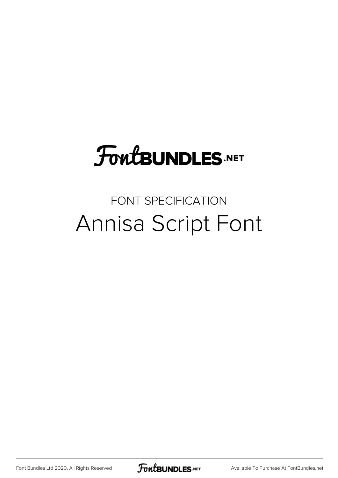## **FoutBUNDLES.NET**

## FONT SPECIFICATION Annisa Script Font

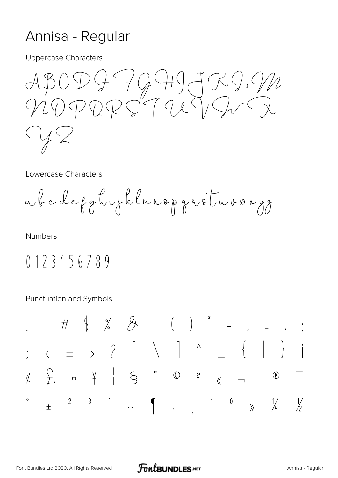## Annisa - Regular

**Uppercase Characters** 

$$
ABCDQQHJJXQM\\ NDDQRSTUR
$$

**Lowercase Characters** 

abadefghijklmnopgertuvorgg

**Numbers** 

 $0123456789$ 

Punctuation and Symbols

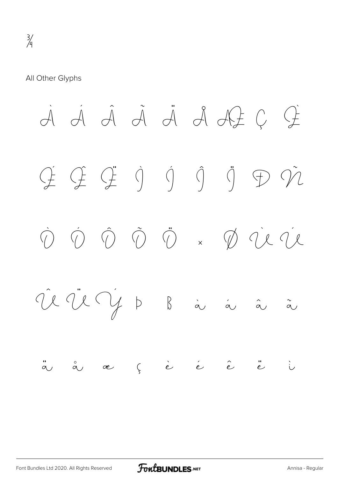All Other Glyphs

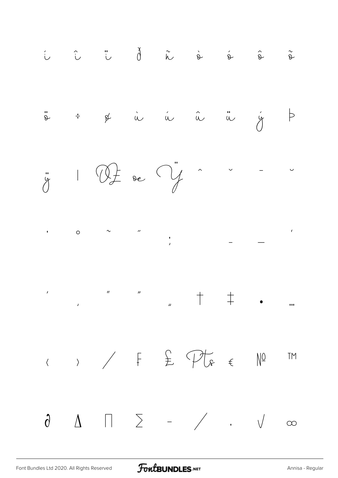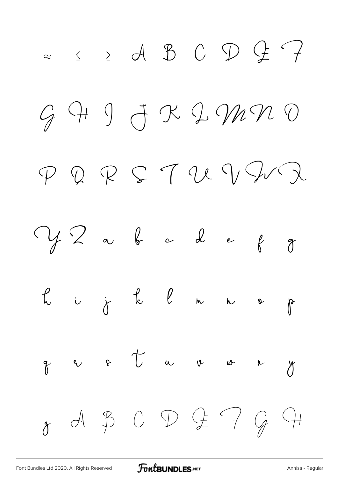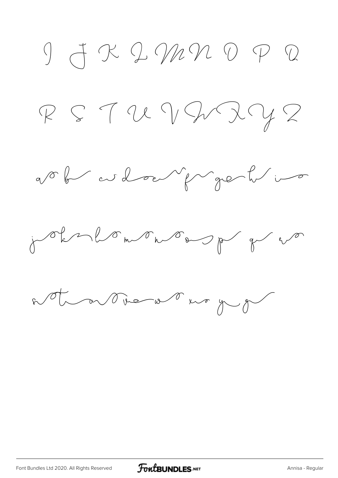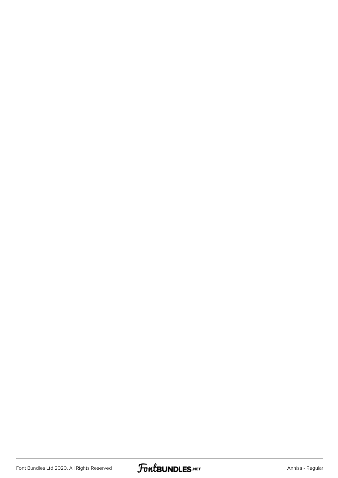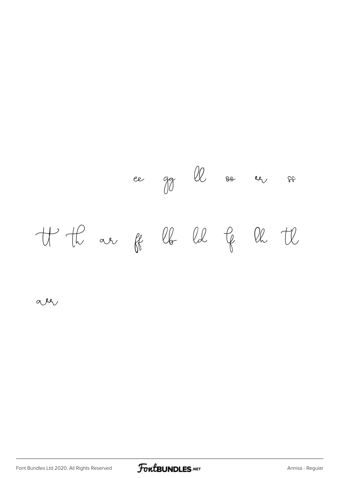ce go ll so en  $88$ H the are of the led by the the

 $a_{1}$ 

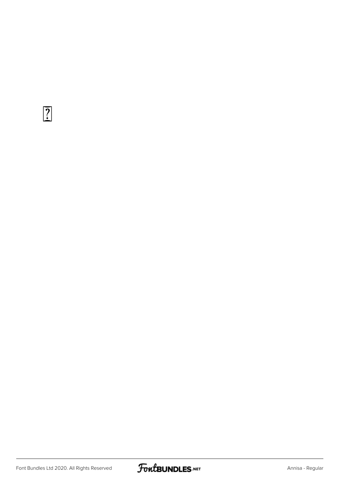

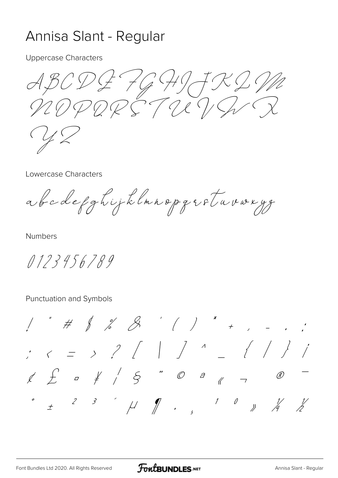## Annisa Slant - Regular

**Uppercase Characters** 

 $ABCDEFG497RCD$ NOPORSTIKI/G/

Lowercase Characters

abcdefghijklmnopgertuværgg

**Numbers** 

0123456789

Punctuation and Symbols

 $1''$  # \$ \$ & ' ( ) \* + ,  $^{\circledR}$  $\pm$  2 3  $\frac{1}{2}$   $\frac{1}{2}$   $\frac{1}{2}$  $\begin{array}{ccccc} 1 & 0 & \text{N} & \text{N} & \text{N} \ & \text{N} & \text{A} & \text{N} \ \end{array}$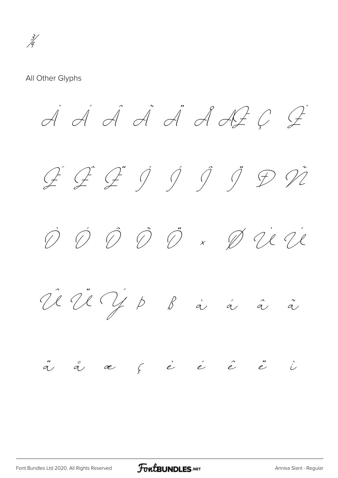*¾*

All Other Glyphs

*À Á Â Ã Ä Å Æ Ç È É Ê Ë Ì Í Î Ï Ð Ñ Ò Ó Ô Õ Ö × Ø Ù Ú Û Ü Ý Þ ß à á â ã ä å æ ç è é ê ë ì*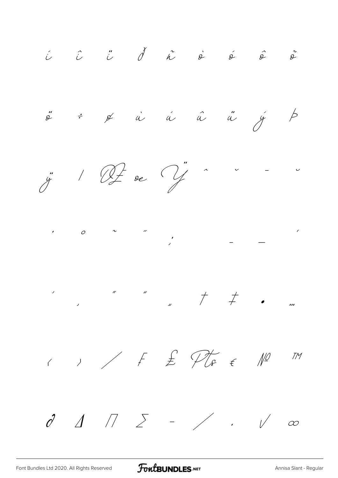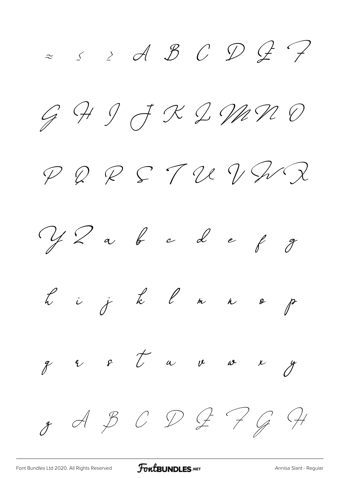$z \rightarrow AdBCPCP$ G H J J K L M N O  $PQPSTUYXY$ Y 2 a b c d e f g L i j L l m n & p  $g$  er  $f$  a  $y$  are  $y$  $\begin{array}{ccccc} & & & \end{array}$  A  $\begin{array}{ccccc} & & \end{array}$  C  $\begin{array}{ccccc} & & \end{array}$  C  $\begin{array}{ccccc} & & \end{array}$  C  $\begin{array}{ccccc} & & \end{array}$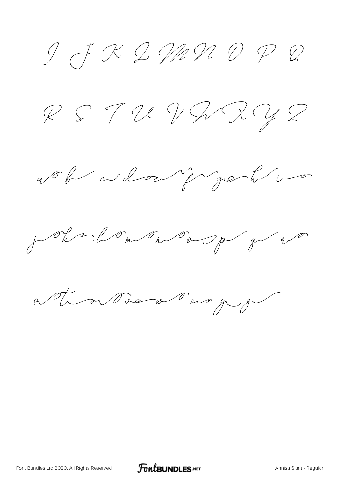$9772727272$  $PSTUYXY2Q2$ a ob cudoe y gerbino



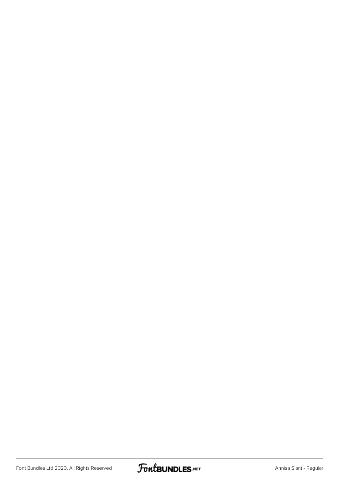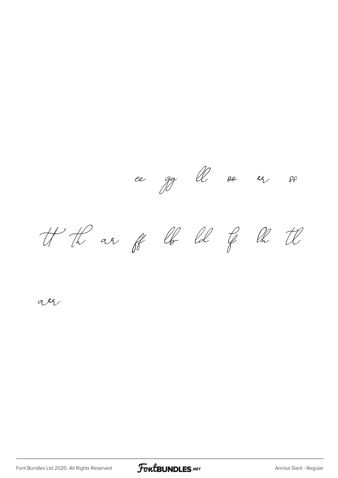ce gg ll so er  $\mathcal{F}$ H Th ar ff lf ld & lh tl

all